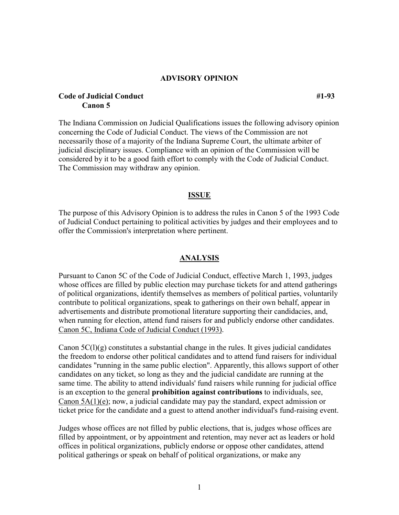#### **ADVISORY OPINION**

## **Code of Judicial Conduct #1-93 Canon 5**

The Indiana Commission on Judicial Qualifications issues the following advisory opinion concerning the Code of Judicial Conduct. The views of the Commission are not necessarily those of a majority of the Indiana Supreme Court, the ultimate arbiter of judicial disciplinary issues. Compliance with an opinion of the Commission will be considered by it to be a good faith effort to comply with the Code of Judicial Conduct. The Commission may withdraw any opinion.

### **ISSUE**

The purpose of this Advisory Opinion is to address the rules in Canon 5 of the 1993 Code of Judicial Conduct pertaining to political activities by judges and their employees and to offer the Commission's interpretation where pertinent.

## **ANALYSIS**

Pursuant to Canon 5C of the Code of Judicial Conduct, effective March 1, 1993, judges whose offices are filled by public election may purchase tickets for and attend gatherings of political organizations, identify themselves as members of political parties, voluntarily contribute to political organizations, speak to gatherings on their own behalf, appear in advertisements and distribute promotional literature supporting their candidacies, and, when running for election, attend fund raisers for and publicly endorse other candidates. Canon 5C, Indiana Code of Judicial Conduct (1993).

Canon  $5C(1)(g)$  constitutes a substantial change in the rules. It gives judicial candidates the freedom to endorse other political candidates and to attend fund raisers for individual candidates "running in the same public election". Apparently, this allows support of other candidates on any ticket, so long as they and the judicial candidate are running at the same time. The ability to attend individuals' fund raisers while running for judicial office is an exception to the general **prohibition against contributions** to individuals, see, Canon 5A(1)(e); now, a judicial candidate may pay the standard, expect admission or ticket price for the candidate and a guest to attend another individual's fund-raising event.

Judges whose offices are not filled by public elections, that is, judges whose offices are filled by appointment, or by appointment and retention, may never act as leaders or hold offices in political organizations, publicly endorse or oppose other candidates, attend political gatherings or speak on behalf of political organizations, or make any